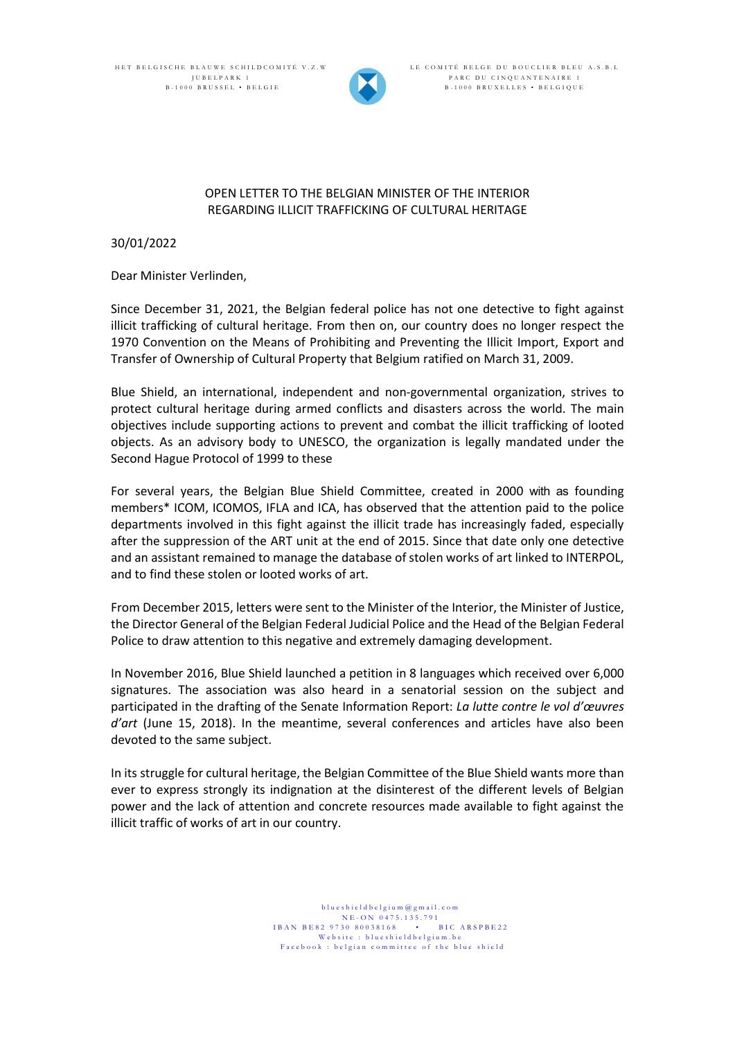HET BELGISCHE BLAUWE SCHILDCOMITÉ V.Z.W JUBELPARK 1 B - 1000 BRUSSEL • BELGIE



LE COMITÉ BELGE DU BOUCLIER BLEU A.S.B.L PARC DU CINQUANTENAIRE 1 B - 1000 BRUXELLES • BELGIQUE

## OPEN LETTER TO THE BELGIAN MINISTER OF THE INTERIOR REGARDING ILLICIT TRAFFICKING OF CULTURAL HERITAGE

30/01/2022

Dear Minister Verlinden,

Since December 31, 2021, the Belgian federal police has not one detective to fight against illicit trafficking of cultural heritage. From then on, our country does no longer respect the 1970 Convention on the Means of Prohibiting and Preventing the Illicit Import, Export and Transfer of Ownership of Cultural Property that Belgium ratified on March 31, 2009.

Blue Shield, an international, independent and non-governmental organization, strives to protect cultural heritage during armed conflicts and disasters across the world. The main objectives include supporting actions to prevent and combat the illicit trafficking of looted objects. As an advisory body to UNESCO, the organization is legally mandated under the Second Hague Protocol of 1999 to these

For several years, the Belgian Blue Shield Committee, created in 2000 with as founding members\* ICOM, ICOMOS, IFLA and ICA, has observed that the attention paid to the police departments involved in this fight against the illicit trade has increasingly faded, especially after the suppression of the ART unit at the end of 2015. Since that date only one detective and an assistant remained to manage the database of stolen works of art linked to INTERPOL, and to find these stolen or looted works of art.

From December 2015, letters were sent to the Minister of the Interior, the Minister of Justice, the Director General of the Belgian Federal Judicial Police and the Head of the Belgian Federal Police to draw attention to this negative and extremely damaging development.

In November 2016, Blue Shield launched a petition in 8 languages which received over 6,000 signatures. The association was also heard in a senatorial session on the subject and participated in the drafting of the Senate Information Report: *La lutte contre le vol d'œuvres d'art* (June 15, 2018). In the meantime, several conferences and articles have also been devoted to the same subject.

In its struggle for cultural heritage, the Belgian Committee of the Blue Shield wants more than ever to express strongly its indignation at the disinterest of the different levels of Belgian power and the lack of attention and concrete resources made available to fight against the illicit traffic of works of art in our country.

> blueshieldbelgium@gmail.com N E - ON 0475.135.791<br>30 80038168 • BIC ARSPBE22  $IBAN$   $BE82$  9730 80038168 Website : blueshieldbelgium.be Facebook : belgian committee of the blue shield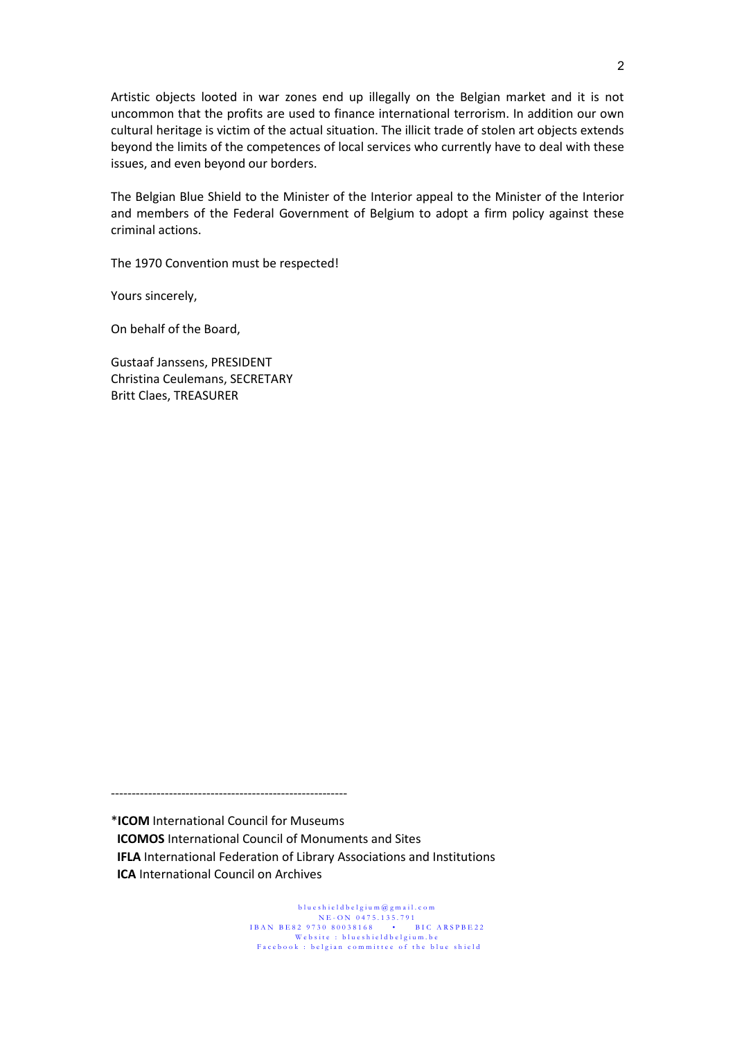Artistic objects looted in war zones end up illegally on the Belgian market and it is not uncommon that the profits are used to finance international terrorism. In addition our own cultural heritage is victim of the actual situation. The illicit trade of stolen art objects extends beyond the limits of the competences of local services who currently have to deal with these issues, and even beyond our borders.

The Belgian Blue Shield to the Minister of the Interior appeal to the Minister of the Interior and members of the Federal Government of Belgium to adopt a firm policy against these criminal actions.

The 1970 Convention must be respected!

Yours sincerely,

On behalf of the Board,

Gustaaf Janssens, PRESIDENT Christina Ceulemans, SECRETARY Britt Claes, TREASURER

---------------------------------------------------------

\***ICOM** International Council for Museums **ICOMOS** International Council of Monuments and Sites **IFLA** International Federation of Library Associations and Institutions **ICA** International Council on Archives

> blueshieldbelgium@gmail.com N E - ON 0475.135.791 IBAN BE82 9730 80038168 • BIC ARSPBE22 Website : blueshieldbelgium.be Facebook : belgian committee of the blue shield